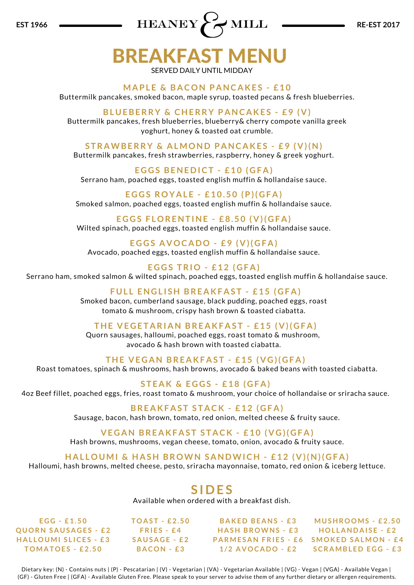

## BREAKFAST MENU SERVED DAILY UNTIL MIDDAY

**MA PL E & B A CON P ANC A KE S - £ 1 0**

Buttermilk pancakes, smoked bacon, maple syrup, toasted pecans & fresh blueberries.

### **BL U EBERRY & CHERRY P ANC A KE S - £ 9 ( V )**

Buttermilk pancakes, fresh blueberries, blueberry& cherry compote vanilla greek yoghurt, honey & toasted oat crumble.

**S TR AWBERRY & A LMOND P ANC A KE S - £ 9 ( V )(N)** Buttermilk pancakes, fresh strawberries, raspberry, honey & greek yoghurt.

**E G G S BENE D ICT - £ 1 0 ( G F A )** Serrano ham, poached eggs, toasted english muffin & hollandaise sauce.

**E G G S ROY A L E - £ 1 0 . 5 0 (P)( G F A )** Smoked salmon, poached eggs, toasted english muffin & hollandaise sauce.

**E G G S F LORENT INE - £ 8 . 5 0 ( V )( G F A )** Wilted spinach, poached eggs, toasted english muffin & hollandaise sauce.

**E G G S A VOC A DO - £ 9 ( V )( G F A )** Avocado, poached eggs, toasted english muffin & hollandaise sauce.

**E G G S TRIO - £ 1 2 ( G F A )** Serrano ham, smoked salmon & wilted spinach, poached eggs, toasted english muffin & hollandaise sauce.

> **F U L L ENG L I SH BRE A KF A S T - £ 1 5 ( G F A )** Smoked bacon, cumberland sausage, black pudding, poached eggs, roast tomato & mushroom, crispy hash brown & toasted ciabatta.

THE VEGETARIAN BREAKFAST - £15 (V)(GFA) Quorn sausages, halloumi, poached eggs, roast tomato & mushroom, avocado & hash brown with toasted ciabatta.

**THE V E G AN BRE A KF A S T - £ 1 5 ( V G )( G F A )** Roast tomatoes, spinach & mushrooms, hash browns, avocado & baked beans with toasted ciabatta.

**S T E A K & E G G S - £ 1 8 ( G F A )** 4oz Beef fillet, poached eggs, fries, roast tomato & mushroom, your choice of hollandaise or sriracha sauce.

> **BRE A KF A S T S T A CK - £ 1 2 ( G F A )** Sausage, bacon, hash brown, tomato, red onion, melted cheese & fruity sauce.

**VEGAN BREAKFAST STACK - £10 (VG)(GFA)** Hash browns, mushrooms, vegan cheese, tomato, onion, avocado & fruity sauce.

**HA L LOUMI & HA SH BROWN S ANDWICH - £ 1 2 ( V )(N)( G F A )**

Halloumi, hash browns, melted cheese, pesto, sriracha mayonnaise, tomato, red onion & iceberg lettuce.

## **S I D E S**

Available when ordered with a breakfast dish.

**E G G - £ 1 . 5 0 QUORN S A U S A G E S - £ 2 HA L LOUMI S L ICE S - £ 3**  $TOMATOES - E2.50$ 

**TOA S T - £ 2 . 5 0 FRI E S - £ 4 S A U S A G E - £ 2 B A CON - £ 3**

**B A KE D BE ANS - £ 3 HA SH BROWNS - £ 3 1 / 2 A VOC A DO - £ 2**

**P A RME S AN FRI E S - £ 6 SMOKE D S A LMON - £ 4 MU SHROOMS - £ 2 . 5 0 HOL L AND A I S E - £ 2 SCR AMBL E D E G G - £ 3**

Dietary key: (N) - Contains nuts | (P) - Pescatarian | (V) - Vegetarian | (VA) - Vegetarian Available | (VG) - Vegan | (VGA) - Available Vegan | (GF) - Gluten Free | (GFA) - Available Gluten Free. Please speak to your server to advise them of any further dietary or allergen requirements.